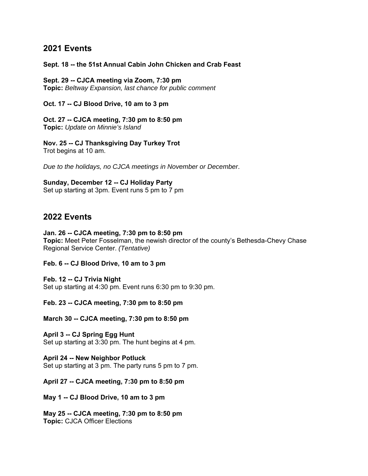## **2021 Events**

## **Sept. 18 -- the 51st Annual Cabin John Chicken and Crab Feast**

**Sept. 29 -- CJCA meeting via Zoom, 7:30 pm Topic:** *Beltway Expansion, last chance for public comment*

**Oct. 17 -- CJ Blood Drive, 10 am to 3 pm**

**Oct. 27 -- CJCA meeting, 7:30 pm to 8:50 pm Topic:** *Update on Minnie's Island*

**Nov. 25 -- CJ Thanksgiving Day Turkey Trot**  Trot begins at 10 am.

*Due to the holidays, no CJCA meetings in November or December*.

**Sunday, December 12 -- CJ Holiday Party** Set up starting at 3pm. Event runs 5 pm to 7 pm

## **2022 Events**

## **Jan. 26 -- CJCA meeting, 7:30 pm to 8:50 pm**

**Topic:** Meet Peter Fosselman, the newish director of the county's Bethesda-Chevy Chase Regional Service Center. *(Tentative)*

**Feb. 6 -- CJ Blood Drive, 10 am to 3 pm**

**Feb. 12 -- CJ Trivia Night** Set up starting at 4:30 pm. Event runs 6:30 pm to 9:30 pm.

**Feb. 23 -- CJCA meeting, 7:30 pm to 8:50 pm** 

**March 30 -- CJCA meeting, 7:30 pm to 8:50 pm** 

**April 3 -- CJ Spring Egg Hunt**  Set up starting at 3:30 pm. The hunt begins at 4 pm.

**April 24 -- New Neighbor Potluck** Set up starting at 3 pm. The party runs 5 pm to 7 pm.

**April 27 -- CJCA meeting, 7:30 pm to 8:50 pm** 

**May 1 -- CJ Blood Drive, 10 am to 3 pm** 

**May 25 -- CJCA meeting, 7:30 pm to 8:50 pm** **Topic:** CJCA Officer Elections